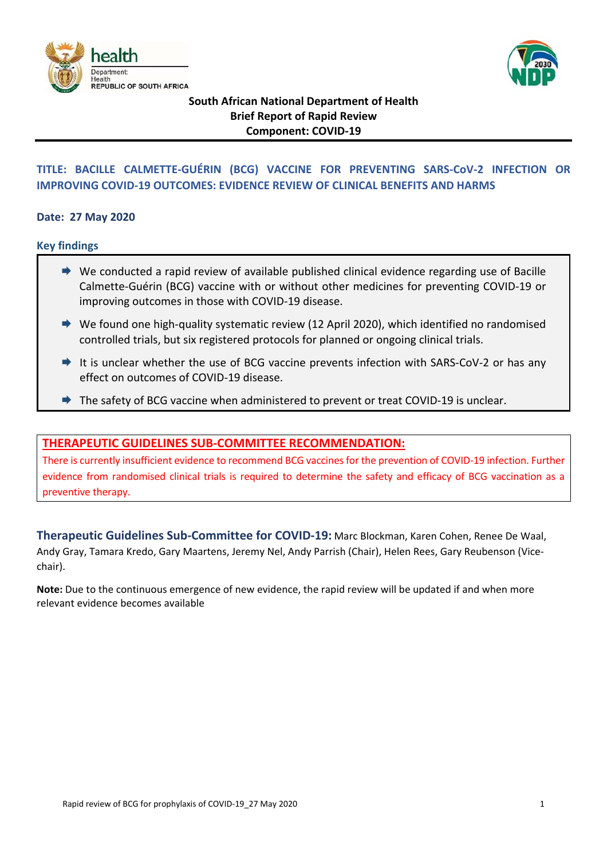



# **South African National Department of Health Brief Report of Rapid Review Component: COVID‐19**

# **TITLE: BACILLE CALMETTE‐GUÉRIN (BCG) VACCINE FOR PREVENTING SARS‐CoV‐2 INFECTION OR IMPROVING COVID‐19 OUTCOMES: EVIDENCE REVIEW OF CLINICAL BENEFITS AND HARMS**

#### **Date: 27 May 2020**

#### **Key findings**

- $\rightarrow$  We conducted a rapid review of available published clinical evidence regarding use of Bacille Calmette‐Guérin (BCG) vaccine with or without other medicines for preventing COVID‐19 or improving outcomes in those with COVID‐19 disease.
- ◆ We found one high-quality systematic review (12 April 2020), which identified no randomised controlled trials, but six registered protocols for planned or ongoing clinical trials.
- **■** It is unclear whether the use of BCG vaccine prevents infection with SARS-CoV-2 or has any effect on outcomes of COVID‐19 disease.
- The safety of BCG vaccine when administered to prevent or treat COVID‐19 is unclear.

## **THERAPEUTIC GUIDELINES SUB‐COMMITTEE RECOMMENDATION:**

There is currently insufficient evidence to recommend BCG vaccines for the prevention of COVID‐19 infection. Further evidence from randomised clinical trials is required to determine the safety and efficacy of BCG vaccination as a preventive therapy.

**Therapeutic Guidelines Sub‐Committee for COVID‐19:** Marc Blockman, Karen Cohen, Renee De Waal, Andy Gray, Tamara Kredo, Gary Maartens, Jeremy Nel, Andy Parrish (Chair), Helen Rees, Gary Reubenson (Vice‐ chair).

**Note:** Due to the continuous emergence of new evidence, the rapid review will be updated if and when more relevant evidence becomes available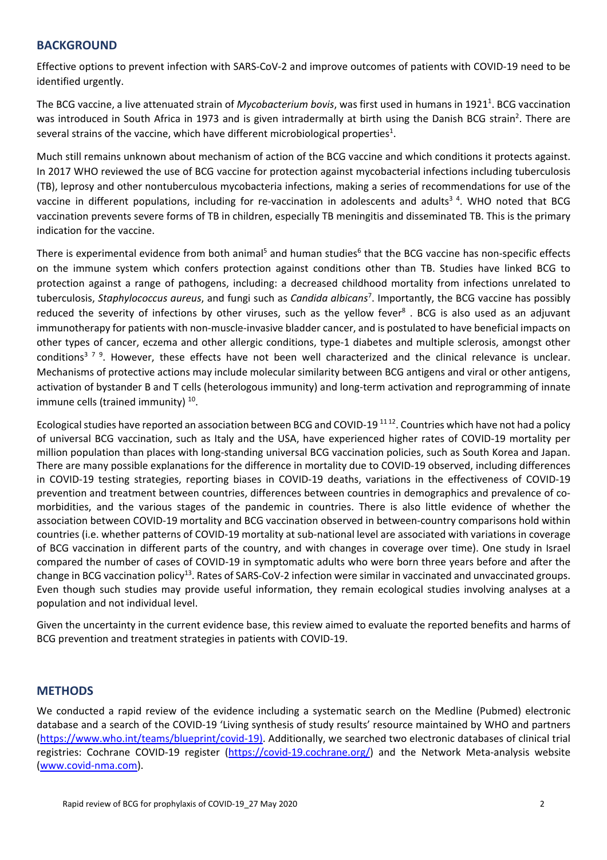#### **BACKGROUND**

Effective options to prevent infection with SARS‐CoV‐2 and improve outcomes of patients with COVID‐19 need to be identified urgently.

The BCG vaccine, a live attenuated strain of *Mycobacterium bovis*, was first used in humans in 1921<sup>1</sup>. BCG vaccination was introduced in South Africa in 1973 and is given intradermally at birth using the Danish BCG strain<sup>2</sup>. There are several strains of the vaccine, which have different microbiological properties<sup>1</sup>.

Much still remains unknown about mechanism of action of the BCG vaccine and which conditions it protects against. In 2017 WHO reviewed the use of BCG vaccine for protection against mycobacterial infections including tuberculosis (TB), leprosy and other nontuberculous mycobacteria infections, making a series of recommendations for use of the vaccine in different populations, including for re-vaccination in adolescents and adults<sup>34</sup>. WHO noted that BCG vaccination prevents severe forms of TB in children, especially TB meningitis and disseminated TB. This is the primary indication for the vaccine.

There is experimental evidence from both animal<sup>5</sup> and human studies<sup>6</sup> that the BCG vaccine has non-specific effects on the immune system which confers protection against conditions other than TB. Studies have linked BCG to protection against a range of pathogens, including: a decreased childhood mortality from infections unrelated to tuberculosis, *Staphylococcus aureus*, and fungi such as *Candida albicans*<sup>7</sup> . Importantly, the BCG vaccine has possibly reduced the severity of infections by other viruses, such as the yellow fever<sup>8</sup>. BCG is also used as an adjuvant immunotherapy for patients with non‐muscle‐invasive bladder cancer, and is postulated to have beneficial impacts on other types of cancer, eczema and other allergic conditions, type‐1 diabetes and multiple sclerosis, amongst other conditions<sup>3 7 9</sup>. However, these effects have not been well characterized and the clinical relevance is unclear. Mechanisms of protective actions may include molecular similarity between BCG antigens and viral or other antigens, activation of bystander B and T cells (heterologous immunity) and long‐term activation and reprogramming of innate immune cells (trained immunity)  $10$ .

Ecological studies have reported an association between BCG and COVID-19 $^{1112}$ . Countries which have not had a policy of universal BCG vaccination, such as Italy and the USA, have experienced higher rates of COVID‐19 mortality per million population than places with long‐standing universal BCG vaccination policies, such as South Korea and Japan. There are many possible explanations for the difference in mortality due to COVID‐19 observed, including differences in COVID‐19 testing strategies, reporting biases in COVID‐19 deaths, variations in the effectiveness of COVID‐19 prevention and treatment between countries, differences between countries in demographics and prevalence of comorbidities, and the various stages of the pandemic in countries. There is also little evidence of whether the association between COVID‐19 mortality and BCG vaccination observed in between‐country comparisons hold within countries (i.e. whether patterns of COVID‐19 mortality at sub‐national level are associated with variations in coverage of BCG vaccination in different parts of the country, and with changes in coverage over time). One study in Israel compared the number of cases of COVID‐19 in symptomatic adults who were born three years before and after the change in BCG vaccination policy<sup>13</sup>. Rates of SARS-CoV-2 infection were similar in vaccinated and unvaccinated groups. Even though such studies may provide useful information, they remain ecological studies involving analyses at a population and not individual level.

Given the uncertainty in the current evidence base, this review aimed to evaluate the reported benefits and harms of BCG prevention and treatment strategies in patients with COVID‐19.

## **METHODS**

We conducted a rapid review of the evidence including a systematic search on the Medline (Pubmed) electronic database and a search of the COVID‐19 'Living synthesis of study results' resource maintained by WHO and partners (https://www.who.int/teams/blueprint/covid‐19). Additionally, we searched two electronic databases of clinical trial registries: Cochrane COVID-19 register (https://covid-19.cochrane.org/) and the Network Meta-analysis website (www.covid‐nma.com).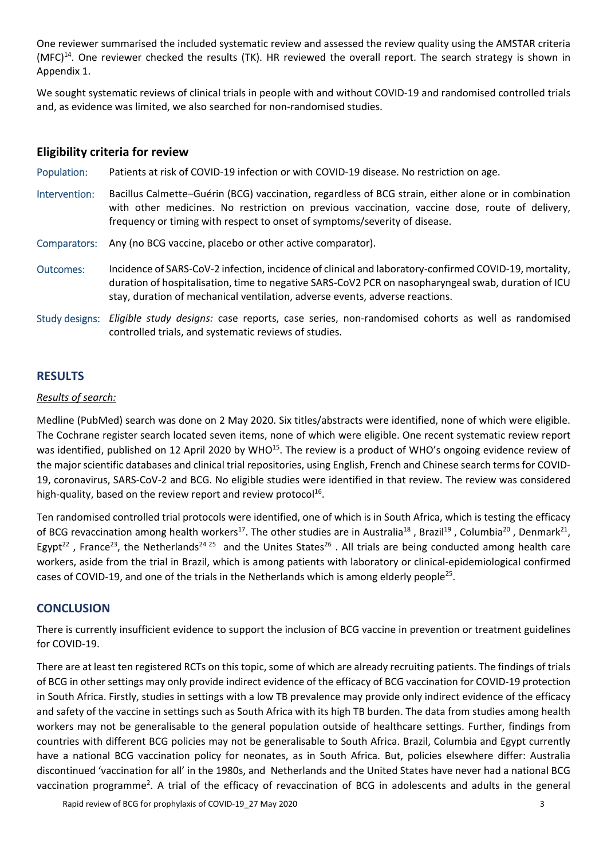One reviewer summarised the included systematic review and assessed the review quality using the AMSTAR criteria  $(MFC)<sup>14</sup>$ . One reviewer checked the results (TK). HR reviewed the overall report. The search strategy is shown in Appendix 1.

We sought systematic reviews of clinical trials in people with and without COVID-19 and randomised controlled trials and, as evidence was limited, we also searched for non‐randomised studies.

## **Eligibility criteria for review**

Population: Patients at risk of COVID‐19 infection or with COVID‐19 disease. No restriction on age.

- Intervention: Bacillus Calmette–Guérin (BCG) vaccination, regardless of BCG strain, either alone or in combination with other medicines. No restriction on previous vaccination, vaccine dose, route of delivery, frequency or timing with respect to onset of symptoms/severity of disease.
- Comparators: Any (no BCG vaccine, placebo or other active comparator).
- Outcomes: Incidence of SARS‐CoV‐2 infection, incidence of clinical and laboratory‐confirmed COVID‐19, mortality, duration of hospitalisation, time to negative SARS‐CoV2 PCR on nasopharyngeal swab, duration of ICU stay, duration of mechanical ventilation, adverse events, adverse reactions.
- Study designs: Eligible study designs: case reports, case series, non-randomised cohorts as well as randomised controlled trials, and systematic reviews of studies.

## **RESULTS**

#### *Results of search:*

Medline (PubMed) search was done on 2 May 2020. Six titles/abstracts were identified, none of which were eligible. The Cochrane register search located seven items, none of which were eligible. One recent systematic review report was identified, published on 12 April 2020 by WHO<sup>15</sup>. The review is a product of WHO's ongoing evidence review of the major scientific databases and clinical trial repositories, using English, French and Chinese search terms for COVID‐ 19, coronavirus, SARS‐CoV‐2 and BCG. No eligible studies were identified in that review. The review was considered high-quality, based on the review report and review protocol<sup>16</sup>.

Ten randomised controlled trial protocols were identified, one of which is in South Africa, which is testing the efficacy of BCG revaccination among health workers<sup>17</sup>. The other studies are in Australia<sup>18</sup>, Brazil<sup>19</sup>, Columbia<sup>20</sup>, Denmark<sup>21</sup>, Egypt<sup>22</sup>, France<sup>23</sup>, the Netherlands<sup>24 25</sup> and the Unites States<sup>26</sup>. All trials are being conducted among health care workers, aside from the trial in Brazil, which is among patients with laboratory or clinical-epidemiological confirmed cases of COVID-19, and one of the trials in the Netherlands which is among elderly people<sup>25</sup>.

## **CONCLUSION**

There is currently insufficient evidence to support the inclusion of BCG vaccine in prevention or treatment guidelines for COVID‐19.

There are at least ten registered RCTs on this topic, some of which are already recruiting patients. The findings of trials of BCG in other settings may only provide indirect evidence of the efficacy of BCG vaccination for COVID‐19 protection in South Africa. Firstly, studies in settings with a low TB prevalence may provide only indirect evidence of the efficacy and safety of the vaccine in settings such as South Africa with its high TB burden. The data from studies among health workers may not be generalisable to the general population outside of healthcare settings. Further, findings from countries with different BCG policies may not be generalisable to South Africa. Brazil, Columbia and Egypt currently have a national BCG vaccination policy for neonates, as in South Africa. But, policies elsewhere differ: Australia discontinued 'vaccination for all' in the 1980s, and Netherlands and the United States have never had a national BCG vaccination programme<sup>2</sup>. A trial of the efficacy of revaccination of BCG in adolescents and adults in the general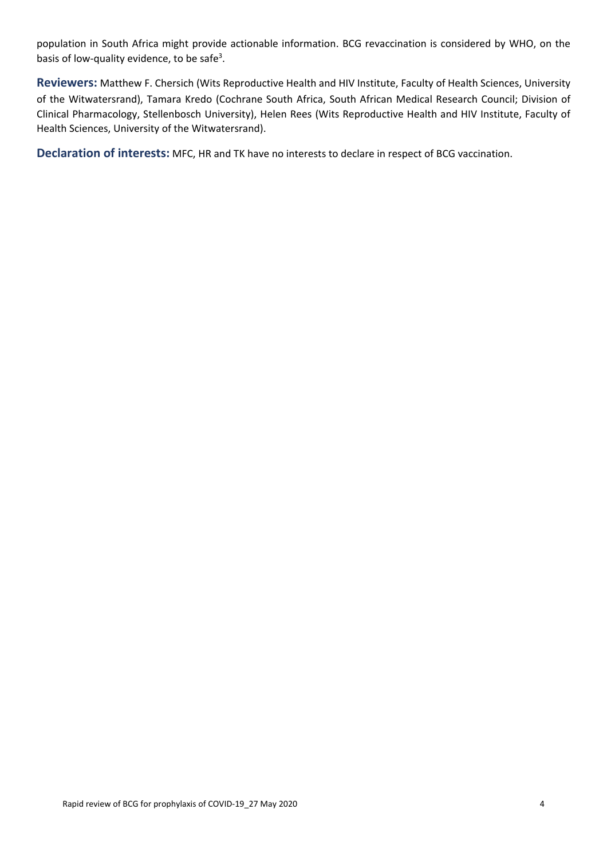population in South Africa might provide actionable information. BCG revaccination is considered by WHO, on the basis of low-quality evidence, to be safe<sup>3</sup>.

**Reviewers:** Matthew F. Chersich (Wits Reproductive Health and HIV Institute, Faculty of Health Sciences, University of the Witwatersrand), Tamara Kredo (Cochrane South Africa, South African Medical Research Council; Division of Clinical Pharmacology, Stellenbosch University), Helen Rees (Wits Reproductive Health and HIV Institute, Faculty of Health Sciences, University of the Witwatersrand).

**Declaration of interests:** MFC, HR and TK have no interests to declare in respect of BCG vaccination.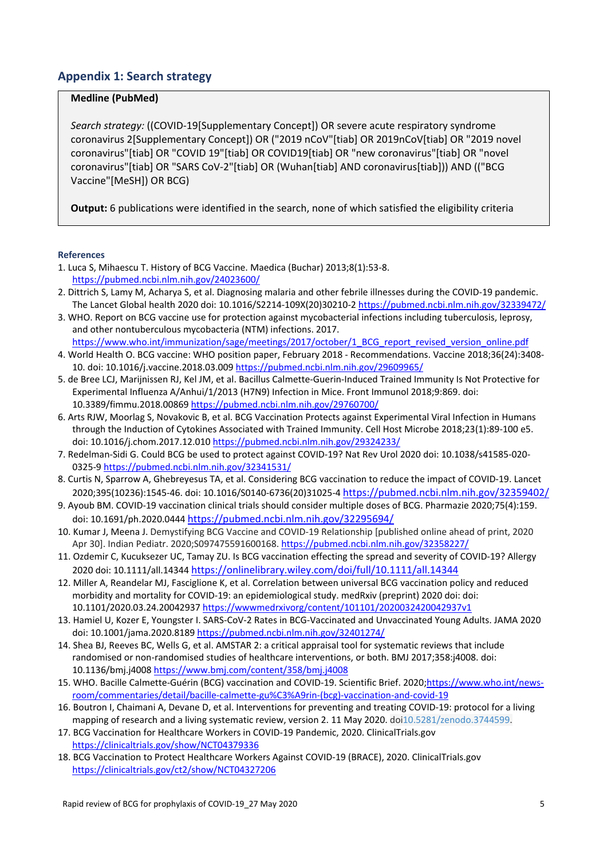## **Appendix 1: Search strategy**

#### **Medline (PubMed)**

*Search strategy:* ((COVID‐19[Supplementary Concept]) OR severe acute respiratory syndrome coronavirus 2[Supplementary Concept]) OR ("2019 nCoV"[tiab] OR 2019nCoV[tiab] OR "2019 novel coronavirus"[tiab] OR "COVID 19"[tiab] OR COVID19[tiab] OR "new coronavirus"[tiab] OR "novel coronavirus"[tiab] OR "SARS CoV‐2"[tiab] OR (Wuhan[tiab] AND coronavirus[tiab])) AND (("BCG Vaccine"[MeSH]) OR BCG)

**Output:** 6 publications were identified in the search, none of which satisfied the eligibility criteria

#### **References**

- 1. Luca S, Mihaescu T. History of BCG Vaccine. Maedica (Buchar) 2013;8(1):53‐8. https://pubmed.ncbi.nlm.nih.gov/24023600/
- 2. Dittrich S, Lamy M, Acharya S, et al. Diagnosing malaria and other febrile illnesses during the COVID‐19 pandemic. The Lancet Global health 2020 doi: 10.1016/S2214‐109X(20)30210‐2 https://pubmed.ncbi.nlm.nih.gov/32339472/
- 3. WHO. Report on BCG vaccine use for protection against mycobacterial infections including tuberculosis, leprosy, and other nontuberculous mycobacteria (NTM) infections. 2017. https://www.who.int/immunization/sage/meetings/2017/october/1\_BCG\_report\_revised\_version\_online.pdf
- 4. World Health O. BCG vaccine: WHO position paper, February 2018 ‐ Recommendations. Vaccine 2018;36(24):3408‐ 10. doi: 10.1016/j.vaccine.2018.03.009 https://pubmed.ncbi.nlm.nih.gov/29609965/
- 5. de Bree LCJ, Marijnissen RJ, Kel JM, et al. Bacillus Calmette-Guerin-Induced Trained Immunity Is Not Protective for Experimental Influenza A/Anhui/1/2013 (H7N9) Infection in Mice. Front Immunol 2018;9:869. doi: 10.3389/fimmu.2018.00869 https://pubmed.ncbi.nlm.nih.gov/29760700/
- 6. Arts RJW, Moorlag S, Novakovic B, et al. BCG Vaccination Protects against Experimental Viral Infection in Humans through the Induction of Cytokines Associated with Trained Immunity. Cell Host Microbe 2018;23(1):89‐100 e5. doi: 10.1016/j.chom.2017.12.010 https://pubmed.ncbi.nlm.nih.gov/29324233/
- 7. Redelman‐Sidi G. Could BCG be used to protect against COVID‐19? Nat Rev Urol 2020 doi: 10.1038/s41585‐020‐ 0325‐9 https://pubmed.ncbi.nlm.nih.gov/32341531/
- 8. Curtis N, Sparrow A, Ghebreyesus TA, et al. Considering BCG vaccination to reduce the impact of COVID‐19. Lancet 2020;395(10236):1545‐46. doi: 10.1016/S0140‐6736(20)31025‐4 https://pubmed.ncbi.nlm.nih.gov/32359402/
- 9. Ayoub BM. COVID‐19 vaccination clinical trials should consider multiple doses of BCG. Pharmazie 2020;75(4):159. doi: 10.1691/ph.2020.0444 https://pubmed.ncbi.nlm.nih.gov/32295694/
- 10. Kumar J, Meena J. Demystifying BCG Vaccine and COVID‐19 Relationship [published online ahead of print, 2020 Apr 30]. Indian Pediatr. 2020;S097475591600168. https://pubmed.ncbi.nlm.nih.gov/32358227/
- 11. Ozdemir C, Kucuksezer UC, Tamay ZU. Is BCG vaccination effecting the spread and severity of COVID‐19? Allergy 2020 doi: 10.1111/all.14344 https://onlinelibrary.wiley.com/doi/full/10.1111/all.14344
- 12. Miller A, Reandelar MJ, Fasciglione K, et al. Correlation between universal BCG vaccination policy and reduced morbidity and mortality for COVID‐19: an epidemiological study. medRxiv (preprint) 2020 doi: doi: 10.1101/2020.03.24.20042937 https://wwwmedrxivorg/content/101101/2020032420042937v1
- 13. Hamiel U, Kozer E, Youngster I. SARS‐CoV‐2 Rates in BCG‐Vaccinated and Unvaccinated Young Adults. JAMA 2020 doi: 10.1001/jama.2020.8189 https://pubmed.ncbi.nlm.nih.gov/32401274/
- 14. Shea BJ, Reeves BC, Wells G, et al. AMSTAR 2: a critical appraisal tool for systematic reviews that include randomised or non-randomised studies of healthcare interventions, or both. BMJ 2017;358:j4008. doi: 10.1136/bmj.j4008 https://www.bmj.com/content/358/bmj.j4008
- 15. WHO. Bacille Calmette-Guérin (BCG) vaccination and COVID-19. Scientific Brief. 2020;https://www.who.int/newsroom/commentaries/detail/bacille‐calmette‐gu%C3%A9rin‐(bcg)‐vaccination‐and‐covid‐19
- 16. Boutron I, Chaimani A, Devane D, et al. Interventions for preventing and treating COVID‐19: protocol for a living mapping of research and a living systematic review, version 2. 11 May 2020. doi10.5281/zenodo.3744599.
- 17. BCG Vaccination for Healthcare Workers in COVID‐19 Pandemic, 2020. ClinicalTrials.gov https://clinicaltrials.gov/show/NCT04379336
- 18. BCG Vaccination to Protect Healthcare Workers Against COVID‐19 (BRACE), 2020. ClinicalTrials.gov https://clinicaltrials.gov/ct2/show/NCT04327206